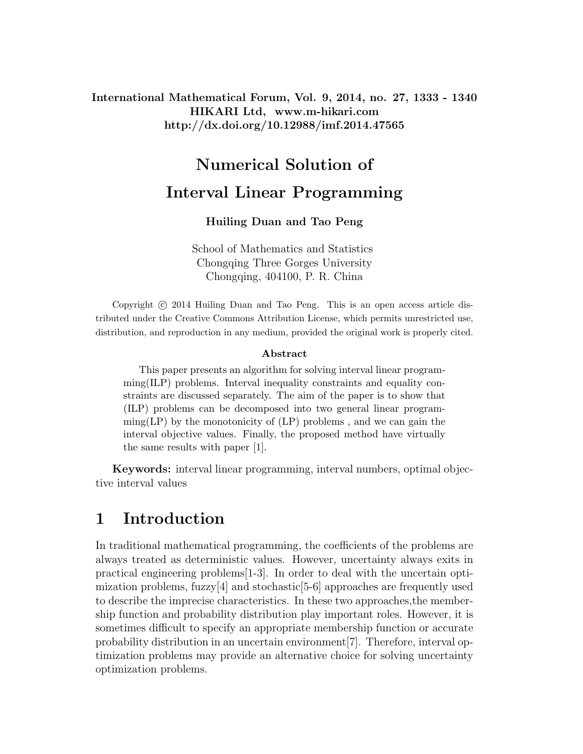### International Mathematical Forum, Vol. 9, 2014, no. 27, 1333 - 1340 HIKARI Ltd, www.m-hikari.com http://dx.doi.org/10.12988/imf.2014.47565

# Numerical Solution of Interval Linear Programming

#### Huiling Duan and Tao Peng

School of Mathematics and Statistics Chongqing Three Gorges University Chongqing, 404100, P. R. China

Copyright  $\odot$  2014 Huiling Duan and Tao Peng. This is an open access article distributed under the Creative Commons Attribution License, which permits unrestricted use, distribution, and reproduction in any medium, provided the original work is properly cited.

#### Abstract

This paper presents an algorithm for solving interval linear programming(ILP) problems. Interval inequality constraints and equality constraints are discussed separately. The aim of the paper is to show that (ILP) problems can be decomposed into two general linear program- $\text{ming}(LP)$  by the monotonicity of  $(LP)$  problems, and we can gain the interval objective values. Finally, the proposed method have virtually the same results with paper [1].

Keywords: interval linear programming, interval numbers, optimal objective interval values

## 1 Introduction

In traditional mathematical programming, the coefficients of the problems are always treated as deterministic values. However, uncertainty always exits in practical engineering problems[1-3]. In order to deal with the uncertain optimization problems, fuzzy $[4]$  and stochastic  $[5-6]$  approaches are frequently used to describe the imprecise characteristics. In these two approaches,the membership function and probability distribution play important roles. However, it is sometimes difficult to specify an appropriate membership function or accurate probability distribution in an uncertain environment[7]. Therefore, interval optimization problems may provide an alternative choice for solving uncertainty optimization problems.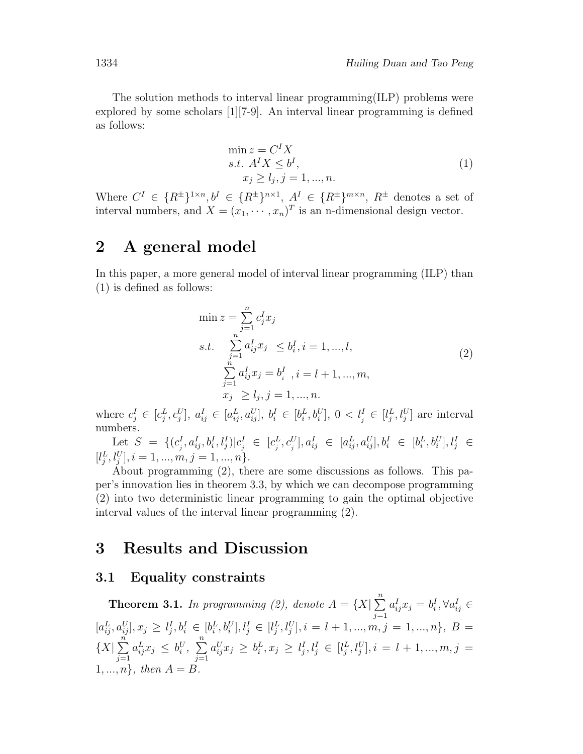The solution methods to interval linear programming(ILP) problems were explored by some scholars [1][7-9]. An interval linear programming is defined as follows:

$$
\min z = CI Xs.t. AI X \le bI,xj \ge lj, j = 1, ..., n.
$$
\n(1)

Where  $C^I \in \{R^{\pm}\}^{1 \times n}, b^I \in \{R^{\pm}\}^{n \times 1}, A^I \in \{R^{\pm}\}^{m \times n}, R^{\pm}$  denotes a set of interval numbers, and  $X = (x_1, \dots, x_n)^T$  is an n-dimensional design vector.

## 2 A general model

In this paper, a more general model of interval linear programming (ILP) than (1) is defined as follows:

$$
\min z = \sum_{j=1}^{n} c_j^I x_j
$$
\n
$$
s.t. \sum_{\substack{j=1 \ j=1}}^{n} a_{ij}^I x_j \le b_i^I, i = 1, ..., l,
$$
\n
$$
\sum_{j=1}^{n} a_{ij}^I x_j = b_i^I, i = l + 1, ..., m,
$$
\n
$$
x_j \ge l_j, j = 1, ..., n.
$$
\n(2)

where  $c_j^I \in [c_j^L, c_j^U]$ ,  $a_{ij}^I \in [a_{ij}^L, a_{ij}^U]$ ,  $b_i^I \in [b_i^L, b_i^U]$ ,  $0 < l_j^I \in [l_j^L, l_j^U]$  are interval numbers.

Let  $S = \{(c_i^I)$  $_{j}^{I},a_{ij}^{I},b_{i}^{I},l_{j}^{I})|c_{j}^{I}$  $e_j^I \in [c_j^L]$  $\big[ \begin{smallmatrix} L & L^L & L^L \ L^L & D & L^L \end{smallmatrix} \big] \big[ a^L_{ij}, a^U_{ij} \big], b^I_i \ \in \ [b^L_i, b^U_i], l^I_j \ \in \ \{ \begin{smallmatrix} L^L & L^L \end{smallmatrix} \big]$  $[l_j^L, l_j^U], i = 1, ..., m, j = 1, ..., n$ .

About programming (2), there are some discussions as follows. This paper's innovation lies in theorem 3.3, by which we can decompose programming (2) into two deterministic linear programming to gain the optimal objective interval values of the interval linear programming (2).

## 3 Results and Discussion

#### 3.1 Equality constraints

**Theorem 3.1.** In programming (2), denote  $A = \{X | \sum_{i=1}^{n} X_i\}$  $j=1$  $a_{ij}^Ix_j = b_i^I, \forall a_{ij}^I \in$  $[a_{ij}^L, a_{ij}^U], x_j \geq l_j^I, b_i^I \in [b_i^L, b_i^U], l_j^I \in [l_j^L, l_j^U], i = l + 1, ..., m, j = 1, ..., n\}, B =$  $\{X|\sum_{i=1}^{n}$  $j=1$  $a_{ij}^L x_j \leq b_i^U, \sum_{i=1}^n$  $j=1$  $a_{ij}^U x_j \, \ge \, b_i^L, x_j \, \ge \, l_j^I, l_j^I \, \in \, [l_j^L, l_j^U], i \, = \, l+1, ..., m, j \, = \,$  $1, ..., n$ , then  $A = B$ .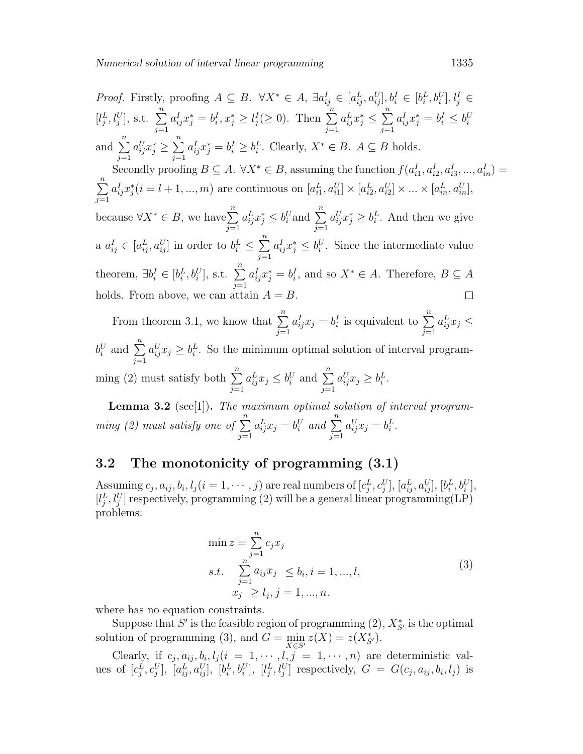*Proof.* Firstly, proofing  $A \subseteq B$ .  $\forall X^* \in A$ ,  $\exists a_{ij}^I \in [a_{ij}^L, a_{ij}^U], b_i^I \in [b_i^L, b_i^U], l_j^I \in$  $[l_j^L, l_j^U], \text{ s.t. } \sum^n$  $a_{ij}^I x_j^* = b_i^I, x_j^* \geq l_j^I (\geq 0)$ . Then  $\sum_{i=1}^{n}$  $a_{ij}^L x_j^* \leq \sum_{i=1}^n$  $a_{ij}^Ix_j^*=b_i^I\leq b_i^U$  $j=1$  $j=1$  $j=1$ and  $\sum_{n=1}^{\infty}$  $a_{ij}^U x_j^* \geq \sum_{i=1}^n$  $a_{ij}^I x_j^* = b_i^I \geq b_i^L$ . Clearly,  $X^* \in B$ .  $A \subseteq B$  holds.  $j=1$  $j=1$ Secondly proofing  $B \subseteq A$ .  $\forall X^* \in B$ , assuming the function  $f(a_{i1}^I, a_{i2}^I, a_{i3}^I, ..., a_{in}^I) =$  $\sum_{n=1}^{\infty}$  $a_{ij}^I x_j^*(i = l + 1, ..., m)$  are continuous on  $[a_{i1}^L, a_{i1}^U] \times [a_{i2}^L, a_{i2}^U] \times ... \times [a_{in}^L, a_{in}^U]$ ,  $j=1$ because  $\forall X^* \in B$ , we have  $\sum^n$  $a_{ij}^L x_j^* \leq b_i^U$  and  $\sum_{i=1}^n$  $a_{ij}^U x_j^* \geq b_i^L$ . And then we give  $j=1$  $j=1$ a  $a_{ij}^I \in [a_{ij}^L, a_{ij}^U]$  in order to  $b_i^L \leq \sum_{i=1}^{n}$  $a_{ij}^I x_j^* \leq b_i^U$ . Since the intermediate value  $j=1$ theorem,  $\exists b_i^I \in [b_i^L, b_i^U]$ , s.t.  $\sum^n$  $a_{ij}^I x_j^* = b_i^I$ , and so  $X^* \in A$ . Therefore,  $B \subseteq A$  $j=1$ holds. From above, we can attain  $A = B$ .  $\Box$ 

From theorem 3.1, we know that  $\sum_{n=1}^{\infty}$  $j=1$  $a_{ij}^I x_j = b_i^I$  is equivalent to  $\sum^n$  $j=1$  $a_{ij}^L x_j \leq$  $b_i^U$  and  $\sum^n$  $j=1$  $a_{ij}^U x_j \geq b_i^L$ . So the minimum optimal solution of interval programming (2) must satisfy both  $\sum_{n=1}^{\infty}$  $j=1$  $a_{ij}^L x_j \leq b_i^U$  and  $\sum_{i=1}^n$  $j=1$  $a_{ij}^U x_j \geq b_i^L$ .

Lemma 3.2 (see[1]). The maximum optimal solution of interval programming (2) must satisfy one of  $\sum_{n=1}^{\infty}$  $j=1$  $a_{ij}^L x_j = b_i^U$  and  $\sum_{j=1}^n$  $a_{ij}^U x_j = b_i^L.$ 

#### 3.2 The monotonicity of programming (3.1)

Assuming  $c_j, a_{ij}, b_i, l_j (i = 1, \cdots, j)$  are real numbers of  $[c_j^L, c_j^U], [a_{ij}^L, a_{ij}^U], [b_i^L, b_i^U],$  $[l_j^L, l_j^U]$  respectively, programming (2) will be a general linear programming (LP) problems:

$$
\min z = \sum_{j=1}^{n} c_j x_j
$$
  
s.t. 
$$
\sum_{j=1}^{n} a_{ij} x_j \le b_i, i = 1, ..., l,
$$

$$
x_j \ge l_j, j = 1, ..., n.
$$
 (3)

where has no equation constraints.

Suppose that S' is the feasible region of programming  $(2)$ ,  $X_{S'}^*$  is the optimal solution of programming (3), and  $G = \min_{X \in S'} z(X) = z(X_{S'}^*)$ .

Clearly, if  $c_j, a_{ij}, b_i, l_j (i = 1, \dots, l, j = 1, \dots, n)$  are deterministic values of  $[c_j^L, c_j^U]$ ,  $[a_{ij}^L, a_{ij}^U]$ ,  $[b_i^L, b_i^U]$ ,  $[l_j^L, l_j^U]$  respectively,  $G = G(c_j, a_{ij}, b_i, l_j)$  is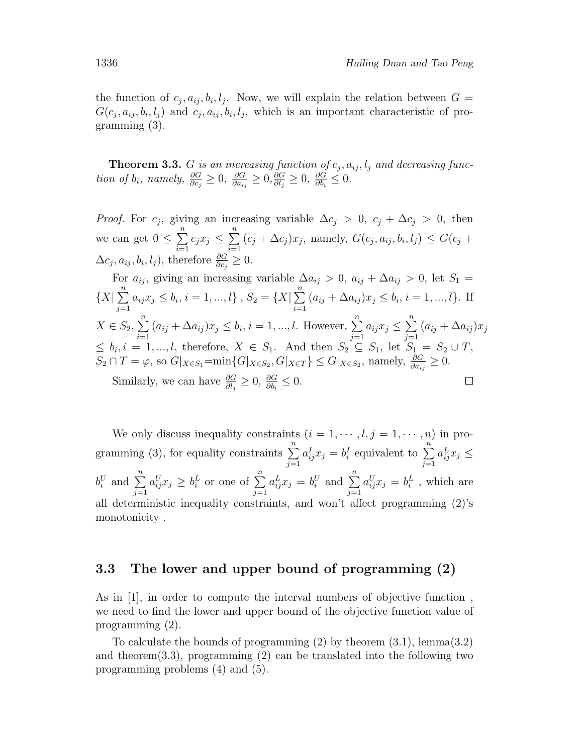the function of  $c_j, a_{ij}, b_i, l_j$ . Now, we will explain the relation between  $G =$  $G(c_j, a_{ij}, b_i, l_j)$  and  $c_j, a_{ij}, b_i, l_j$ , which is an important characteristic of programming (3).

**Theorem 3.3.** G is an increasing function of  $c_j$ ,  $a_{ij}$ ,  $l_j$  and decreasing function of  $b_i$ , namely,  $\frac{\partial G}{\partial c_j} \geq 0$ ,  $\frac{\partial G}{\partial a_{i_j}}$  $\frac{\partial G}{\partial a_{ij}}\geq 0, \frac{\partial G}{\partial l_j}$  $\frac{\partial G}{\partial l_j}\geq 0,~\frac{\partial G}{\partial b_i}$  $\frac{\partial G}{\partial b_i} \leq 0.$ 

*Proof.* For  $c_j$ , giving an increasing variable  $\Delta c_j > 0$ ,  $c_j + \Delta c_j > 0$ , then we can get  $0 \leq \sum_{n=1}^{\infty}$  $i=1$  $c_j x_j \leq \sum_{i=1}^n$  $i=1$  $(c_j + \Delta c_j)x_j$ , namely,  $G(c_j, a_{ij}, b_i, l_j) \leq G(c_j +$  $\Delta c_j, a_{ij}, b_i, l_j$ , therefore  $\frac{\partial G}{\partial c_j} \geq 0$ .

For 
$$
a_{ij}
$$
, giving an increasing variable  $\Delta a_{ij} > 0$ ,  $a_{ij} + \Delta a_{ij} > 0$ , let  $S_1 = \{X | \sum_{j=1}^{n} a_{ij} x_j \le b_i, i = 1, ..., l\}$ ,  $S_2 = \{X | \sum_{i=1}^{n} (a_{ij} + \Delta a_{ij}) x_j \le b_i, i = 1, ..., l\}$ . If  $X \in S_2$ ,  $\sum_{i=1}^{n} (a_{ij} + \Delta a_{ij}) x_j \le b_i, i = 1, ..., l$ . However,  $\sum_{j=1}^{n} a_{ij} x_j \le \sum_{j=1}^{n} (a_{ij} + \Delta a_{ij}) x_j \le b_i, i = 1, ..., l$ , therefore,  $X \in S_1$ . And then  $S_2 \subseteq S_1$ , let  $S_1 = S_2 \cup T$ ,  $S_2 \cap T = \varphi$ , so  $G |_{X \in S_1} = \min\{G |_{X \in S_2}, G |_{X \in T}\} \le G |_{X \in S_2}$ , namely,  $\frac{\partial G}{\partial a_{ij}} \ge 0$ .  
Similarly, we can have  $\frac{\partial G}{\partial l_j} \ge 0$ ,  $\frac{\partial G}{\partial b_i} \le 0$ .

We only discuss inequality constraints  $(i = 1, \dots, l, j = 1, \dots, n)$  in programming (3), for equality constraints  $\sum_{n=1}^{\infty}$  $j=1$  $a_{ij}^I x_j = b_i^I$  equivalent to  $\sum_{i=1}^n a_i^I x_j = b_i^I$  $j=1$  $a_{ij}^L x_j \leq$  $b_i^U$  and  $\sum^n$  $j=1$  $a_{ij}^U x_j \geq b_i^L$  or one of  $\sum^n$  $j=1$  $a_{ij}^L x_j = b_i^U$  and  $\sum_{i=1}^n a_i^U$  $j=1$  $a_{ij}^U x_j = b_i^L$ , which are all deterministic inequality constraints, and won't affect programming (2)'s monotonicity .

#### 3.3 The lower and upper bound of programming (2)

As in [1], in order to compute the interval numbers of objective function , we need to find the lower and upper bound of the objective function value of programming (2).

To calculate the bounds of programming (2) by theorem (3.1), lemma(3.2) and theorem(3.3), programming  $(2)$  can be translated into the following two programming problems (4) and (5).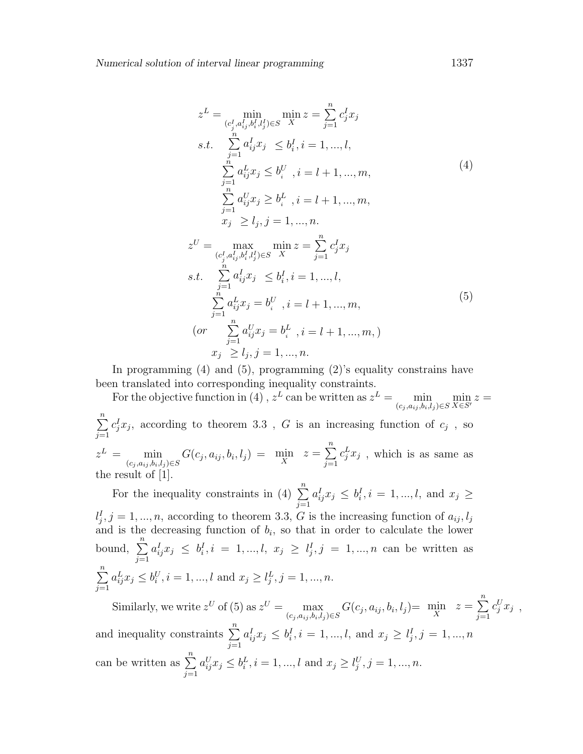$$
z^{L} = \min_{(c_{j}^{l}, a_{ij}^{l}, b_{i}^{l}, l_{j}^{l}) \in S} \min_{X} z = \sum_{j=1}^{n} c_{j}^{l} x_{j}
$$
  
s.t. 
$$
\sum_{j=1}^{n} a_{ij}^{l} x_{j} \leq b_{i}^{l}, i = 1, ..., l,
$$

$$
\sum_{j=1}^{n} a_{ij}^{l} x_{j} \leq b_{i}^{U}, i = l + 1, ..., m,
$$

$$
\sum_{j=1}^{n} a_{ij}^{U} x_{j} \geq b_{i}^{L}, i = l + 1, ..., m,
$$

$$
x_{j} \geq l_{j}, j = 1, ..., n.
$$

$$
z^{U} = \max_{(c_{j}^{l}, a_{ij}^{l}, b_{i}^{l}, l_{j}^{l}) \in S} \min_{X} z = \sum_{j=1}^{n} c_{j}^{l} x_{j}
$$

$$
s.t. \sum_{j=1}^{n} a_{ij}^{l} x_{j} \leq b_{i}^{l}, i = 1, ..., l,
$$

$$
\sum_{j=1}^{n} a_{ij}^{L} x_{j} = b_{i}^{U}, i = l + 1, ..., m,
$$

$$
(or \sum_{j=1}^{n} a_{ij}^{U} x_{j} = b_{i}^{L}, i = l + 1, ..., m)
$$

$$
x_{j} \geq l_{j}, j = 1, ..., n.
$$

$$
(97)
$$

In programming (4) and (5), programming (2)'s equality constrains have been translated into corresponding inequality constraints.

For the objective function in (4),  $z^L$  can be written as  $z^L = \min_{(c_j, a_{ij}, b_i, l_j) \in S} \min_{X \in S'} z =$  $\sum_{n=1}^{\infty}$  $j=1$  $c_j^I x_j$ , according to theorem 3.3, G is an increasing function of  $c_j$ , so  $z^L = \min_{(c_j, a_{ij}, b_i, l_j) \in S} G(c_j, a_{ij}, b_i, l_j) = \min_{X} z = \sum_{j=1}^{n} z^j$  $j=1$  $c_j^L x_j$ , which is as same as the result of [1].

For the inequality constraints in (4)  $\sum_{n=1}^{\infty}$  $j=1$  $a_{ij}^I x_j \leq b_i^I, i = 1, ..., l, \text{ and } x_j \geq$  $l_j^I, j = 1, ..., n$ , according to theorem 3.3, G is the increasing function of  $a_{ij}, l_j$ and is the decreasing function of  $b_i$ , so that in order to calculate the lower bound,  $\sum_{n=1}^{\infty}$  $j=1$  $a_{ij}^I x_j \leq b_i^I, i = 1, ..., l, x_j \geq l_j^I, j = 1, ..., n$  can be written as  $\sum_{n=1}^{\infty}$  $j=1$  $a_{ij}^L x_j \leq b_i^U, i = 1, ..., l$  and  $x_j \geq l_j^L, j = 1, ..., n$ .

Similarly, we write  $z^U$  of (5) as  $z^U = \max_{(c_j, a_{ij}, b_i, l_j) \in S} G(c_j, a_{ij}, b_i, l_j) = \min_X z = \sum_{j=1}^n z^j$  $j=1$  $c_j^U x_j$ , and inequality constraints  $\sum_{n=1}^{\infty}$  $j=1$  $a_{ij}^I x_j \leq b_i^I, i = 1, ..., l, \text{ and } x_j \geq l_j^I, j = 1, ..., n$ can be written as  $\sum_{n=1}^{\infty}$  $j=1$  $a_{ij}^U x_j \leq b_i^L, i = 1, ..., l$  and  $x_j \geq l_j^U, j = 1, ..., n$ .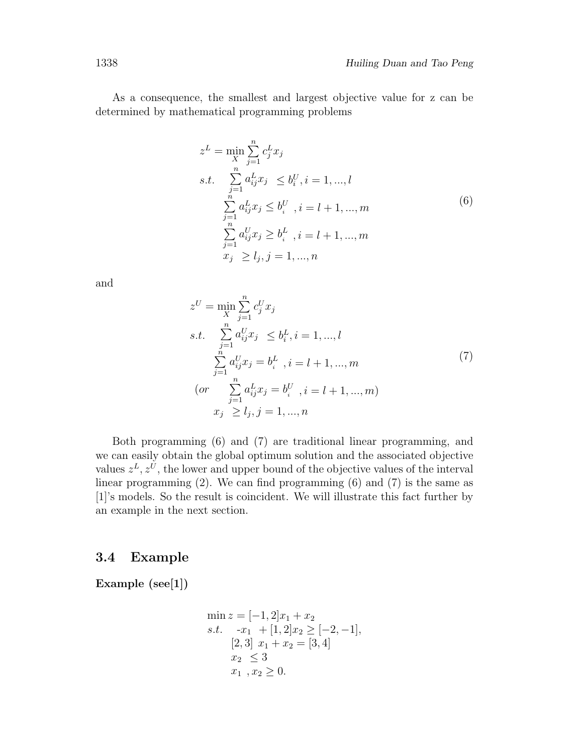As a consequence, the smallest and largest objective value for z can be determined by mathematical programming problems

$$
z^{L} = \min_{X} \sum_{j=1}^{n} c_{j}^{L} x_{j}
$$
  
s.t. 
$$
\sum_{j=1}^{n} a_{ij}^{L} x_{j} \leq b_{i}^{U}, i = 1, ..., l
$$

$$
\sum_{j=1}^{n} a_{ij}^{L} x_{j} \leq b_{i}^{U}, i = l + 1, ..., m
$$

$$
\sum_{j=1}^{n} a_{ij}^{U} x_{j} \geq b_{i}^{L}, i = l + 1, ..., m
$$

$$
x_{j} \geq l_{j}, j = 1, ..., n
$$

$$
(6)
$$

and

$$
z^{U} = \min_{X} \sum_{j=1}^{n} c_{j}^{U} x_{j}
$$
  
s.t. 
$$
\sum_{j=1}^{n} a_{ij}^{U} x_{j} \leq b_{i}^{L}, i = 1, ..., l
$$

$$
\sum_{j=1}^{n} a_{ij}^{U} x_{j} = b_{i}^{L}, i = l+1, ..., m
$$

$$
(or \sum_{j=1}^{n} a_{ij}^{L} x_{j} = b_{i}^{U}, i = l+1, ..., m)
$$

$$
x_{j} \geq l_{j}, j = 1, ..., n
$$

$$
(7)
$$

Both programming (6) and (7) are traditional linear programming, and we can easily obtain the global optimum solution and the associated objective values  $z^L, z^U$ , the lower and upper bound of the objective values of the interval linear programming (2). We can find programming (6) and (7) is the same as [1]'s models. So the result is coincident. We will illustrate this fact further by an example in the next section.

#### 3.4 Example

Example (see[1])

$$
\min z = [-1, 2]x_1 + x_2
$$
  
s.t.  $-x_1 + [1, 2]x_2 \ge [-2, -1],$   
 $[2, 3] \ x_1 + x_2 = [3, 4]$   
 $x_2 \le 3$   
 $x_1, x_2 \ge 0.$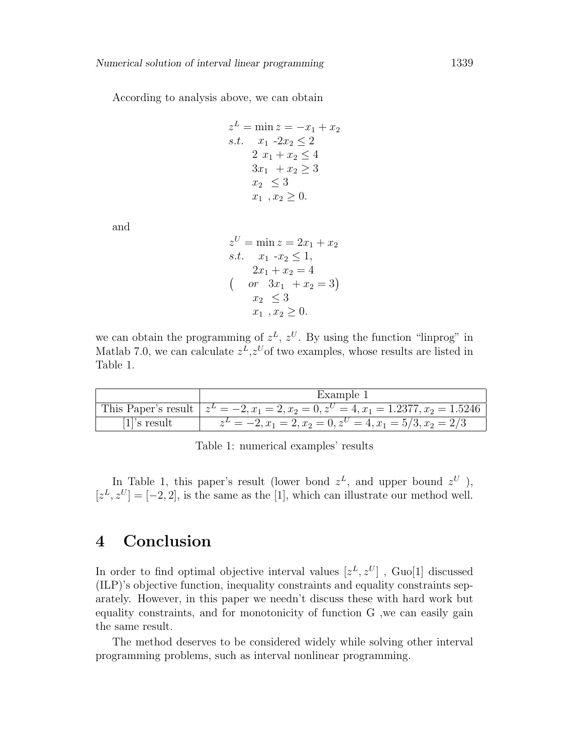According to analysis above, we can obtain

$$
z^{L} = \min z = -x_1 + x_2
$$
  
s.t.  $x_1 - 2x_2 \le 2$   
 $2x_1 + x_2 \le 4$   
 $3x_1 + x_2 \ge 3$   
 $x_2 \le 3$   
 $x_1, x_2 \ge 0$ .

and

$$
z^{U} = \min z = 2x_{1} + x_{2}
$$
  
s.t.  $x_{1} - x_{2} \le 1$ ,  
 $2x_{1} + x_{2} = 4$   
 $( \text{ or } 3x_{1} + x_{2} = 3)$   
 $x_{2} \le 3$   
 $x_{1}, x_{2} \ge 0.$ 

we can obtain the programming of  $z<sup>L</sup>$ ,  $z<sup>U</sup>$ . By using the function "linprog" in Matlab 7.0, we can calculate  $z^L$ ,  $z^U$  of two examples, whose results are listed in Table 1.

|                 | Example 1                                                                                            |
|-----------------|------------------------------------------------------------------------------------------------------|
|                 | This Paper's result $z^L = -2$ , $x_1 = 2$ , $x_2 = 0$ , $z^U = 4$ , $x_1 = 1.2377$ , $x_2 = 1.5246$ |
| $[1]$ 's result | $z^L = -2, x_1 = 2, x_2 = 0, z^U = 4, x_1 = 5/3, x_2 = 2/3$                                          |

Table 1: numerical examples' results

In Table 1, this paper's result (lower bond  $z^L$ , and upper bound  $z^U$ ),  $[z<sup>L</sup>, z<sup>U</sup>] = [-2, 2]$ , is the same as the [1], which can illustrate our method well.

## 4 Conclusion

In order to find optimal objective interval values  $[z^L, z^U]$ , Guo[1] discussed (ILP)'s objective function, inequality constraints and equality constraints separately. However, in this paper we needn't discuss these with hard work but equality constraints, and for monotonicity of function G ,we can easily gain the same result.

The method deserves to be considered widely while solving other interval programming problems, such as interval nonlinear programming.